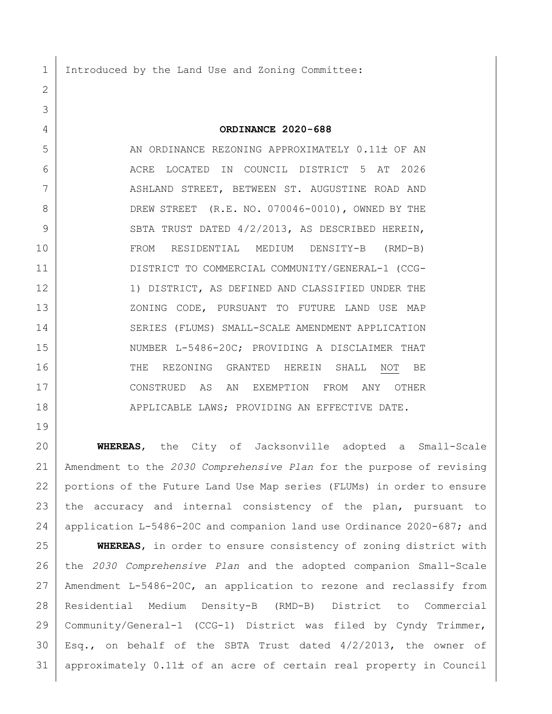1 Introduced by the Land Use and Zoning Committee:

## **ORDINANCE 2020-688**

 AN ORDINANCE REZONING APPROXIMATELY 0.11 OF AN ACRE LOCATED IN COUNCIL DISTRICT 5 AT 2026 7 | ASHLAND STREET, BETWEEN ST. AUGUSTINE ROAD AND 8 DREW STREET (R.E. NO. 070046-0010), OWNED BY THE 9 SBTA TRUST DATED 4/2/2013, AS DESCRIBED HEREIN, FROM RESIDENTIAL MEDIUM DENSITY-B (RMD-B) DISTRICT TO COMMERCIAL COMMUNITY/GENERAL-1 (CCG-12 10 1) DISTRICT, AS DEFINED AND CLASSIFIED UNDER THE 13 XONING CODE, PURSUANT TO FUTURE LAND USE MAP 14 SERIES (FLUMS) SMALL-SCALE AMENDMENT APPLICATION 15 NUMBER L-5486-20C; PROVIDING A DISCLAIMER THAT 16 THE REZONING GRANTED HEREIN SHALL NOT BE CONSTRUED AS AN EXEMPTION FROM ANY OTHER 18 | APPLICABLE LAWS; PROVIDING AN EFFECTIVE DATE.

 **WHEREAS**, the City of Jacksonville adopted a Small-Scale Amendment to the *2030 Comprehensive Plan* for the purpose of revising portions of the Future Land Use Map series (FLUMs) in order to ensure the accuracy and internal consistency of the plan, pursuant to application L-5486-20C and companion land use Ordinance 2020-687; and

 **WHEREAS**, in order to ensure consistency of zoning district with the *2030 Comprehensive Plan* and the adopted companion Small-Scale Amendment L-5486-20C, an application to rezone and reclassify from Residential Medium Density-B (RMD-B) District to Commercial Community/General-1 (CCG-1) District was filed by Cyndy Trimmer, Esq., on behalf of the SBTA Trust dated  $4/2/2013$ , the owner of approximately  $0.11\pm$  of an acre of certain real property in Council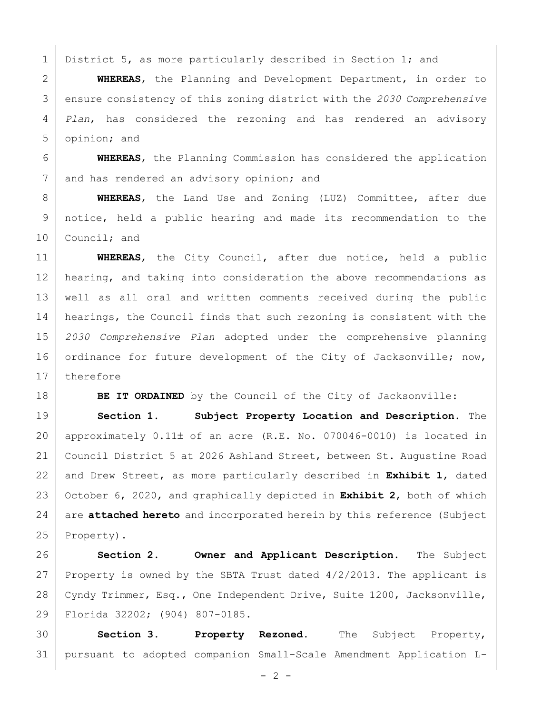1 District 5, as more particularly described in Section 1; and

 **WHEREAS**, the Planning and Development Department, in order to ensure consistency of this zoning district with the *2030 Comprehensive Plan*, has considered the rezoning and has rendered an advisory opinion; and

 **WHEREAS**, the Planning Commission has considered the application 7 and has rendered an advisory opinion; and

 **WHEREAS**, the Land Use and Zoning (LUZ) Committee, after due notice, held a public hearing and made its recommendation to the 10 Council; and

 **WHEREAS**, the City Council, after due notice, held a public 12 | hearing, and taking into consideration the above recommendations as well as all oral and written comments received during the public 14 | hearings, the Council finds that such rezoning is consistent with the *2030 Comprehensive Plan* adopted under the comprehensive planning 16 ordinance for future development of the City of Jacksonville; now, 17 therefore

**BE IT ORDAINED** by the Council of the City of Jacksonville:

 **Section 1. Subject Property Location and Description.** The 20 | approximately  $0.11\pm$  of an acre (R.E. No. 070046-0010) is located in Council District 5 at 2026 Ashland Street, between St. Augustine Road and Drew Street, as more particularly described in **Exhibit 1**, dated October 6, 2020, and graphically depicted in **Exhibit 2**, both of which 24 are **attached hereto** and incorporated herein by this reference (Subject 25 Property).

 **Section 2. Owner and Applicant Description.** The Subject 27 Property is owned by the SBTA Trust dated  $4/2/2013$ . The applicant is Cyndy Trimmer, Esq., One Independent Drive, Suite 1200, Jacksonville, Florida 32202; (904) 807-0185.

 **Section 3. Property Rezoned.** The Subject Property, pursuant to adopted companion Small-Scale Amendment Application L-

 $- 2 -$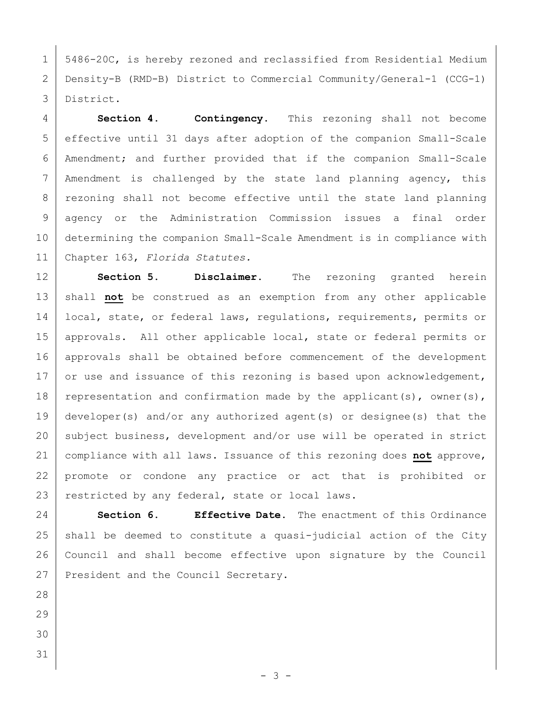1 | 5486-20C, is hereby rezoned and reclassified from Residential Medium Density-B (RMD-B) District to Commercial Community/General-1 (CCG-1) District.

 **Section 4. Contingency.** This rezoning shall not become effective until 31 days after adoption of the companion Small-Scale Amendment; and further provided that if the companion Small-Scale Amendment is challenged by the state land planning agency, this 8 | rezoning shall not become effective until the state land planning agency or the Administration Commission issues a final order determining the companion Small-Scale Amendment is in compliance with Chapter 163, *Florida Statutes.*

 **Section 5. Disclaimer.** The rezoning granted herein 13 | shall not be construed as an exemption from any other applicable 14 | local, state, or federal laws, regulations, requirements, permits or 15 | approvals. All other applicable local, state or federal permits or 16 approvals shall be obtained before commencement of the development 17 or use and issuance of this rezoning is based upon acknowledgement, 18 representation and confirmation made by the applicant(s), owner(s), developer(s) and/or any authorized agent(s) or designee(s) that the 20 subject business, development and/or use will be operated in strict compliance with all laws. Issuance of this rezoning does **not** approve, promote or condone any practice or act that is prohibited or 23 restricted by any federal, state or local laws.

 **Section 6. Effective Date.** The enactment of this Ordinance shall be deemed to constitute a quasi-judicial action of the City Council and shall become effective upon signature by the Council 27 President and the Council Secretary.

- 
- 
- 
-